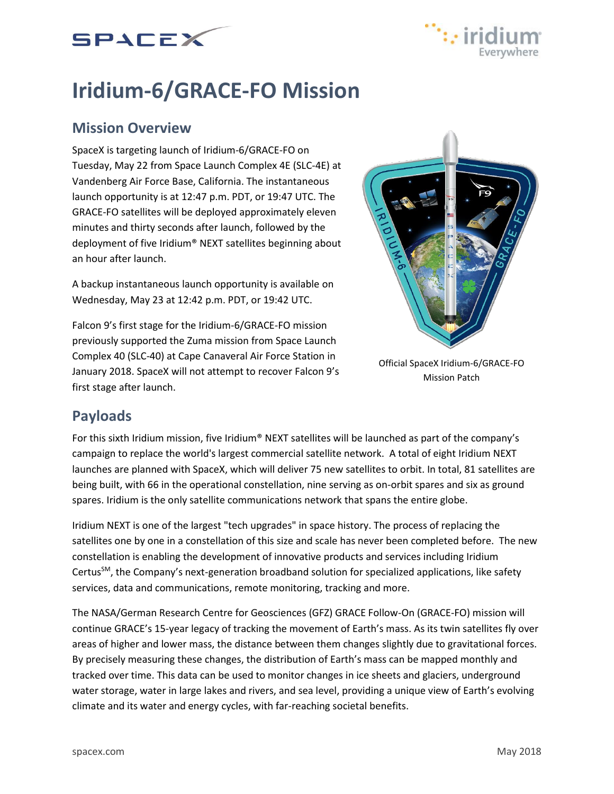



# **Iridium-6/GRACE-FO Mission**

## **Mission Overview**

SpaceX is targeting launch of Iridium-6/GRACE-FO on Tuesday, May 22 from Space Launch Complex 4E (SLC-4E) at Vandenberg Air Force Base, California. The instantaneous launch opportunity is at 12:47 p.m. PDT, or 19:47 UTC. The GRACE-FO satellites will be deployed approximately eleven minutes and thirty seconds after launch, followed by the deployment of five Iridium® NEXT satellites beginning about an hour after launch.

A backup instantaneous launch opportunity is available on Wednesday, May 23 at 12:42 p.m. PDT, or 19:42 UTC.

Falcon 9's first stage for the Iridium-6/GRACE-FO mission previously supported the Zuma mission from Space Launch Complex 40 (SLC-40) at Cape Canaveral Air Force Station in January 2018. SpaceX will not attempt to recover Falcon 9's first stage after launch.



Official SpaceX Iridium-6/GRACE-FO Mission Patch

## **Payloads**

For this sixth Iridium mission, five Iridium® NEXT satellites will be launched as part of the company's campaign to replace the world's largest commercial satellite network. A total of eight Iridium NEXT launches are planned with SpaceX, which will deliver 75 new satellites to orbit. In total, 81 satellites are being built, with 66 in the operational constellation, nine serving as on-orbit spares and six as ground spares. Iridium is the only satellite communications network that spans the entire globe.

Iridium NEXT is one of the largest "tech upgrades" in space history. The process of replacing the satellites one by one in a constellation of this size and scale has never been completed before. The new constellation is enabling the development of innovative products and services including Iridium CertusSM, the Company's next-generation broadband solution for specialized applications, like safety services, data and communications, remote monitoring, tracking and more.

The NASA/German Research Centre for Geosciences (GFZ) GRACE Follow-On (GRACE-FO) mission will continue GRACE's 15-year legacy of tracking the movement of Earth's mass. As its twin satellites fly over areas of higher and lower mass, the distance between them changes slightly due to gravitational forces. By precisely measuring these changes, the distribution of Earth's mass can be mapped monthly and tracked over time. This data can be used to monitor changes in ice sheets and glaciers, underground water storage, water in large lakes and rivers, and sea level, providing a unique view of Earth's evolving climate and its water and energy cycles, with far-reaching societal benefits.